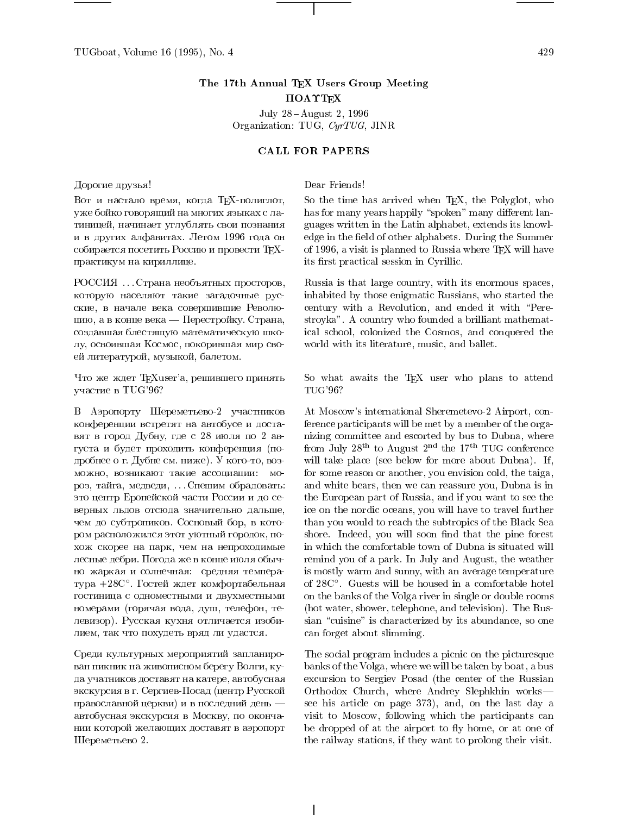# The 17th Annual TEX Users Group Meeting  $\Pi$ OA $\Upsilon$ T<sub>F</sub>X

July 28-August 2, 1996 Organization: TUG, CyrTUG, JINR

## CALL FOR PAPERS

Дорогие друзья!

Вот и настало время, когда ТЕХ-полиглот, уже бойко говорящий на многих языках с латиницей, начинает углублять свои познания и в других алфавитах. Летом 1996 года он собирается посетить Россию и провести ТЕХпрактикум на кириллице.

РОССИЯ . . . Страна необъятных просторов, Которую населяют такие загадочные русские, в начале века совершившие Революцию, а в конце века — Перестройку. Страна, создавшая блестящую математическую школу, освоившая Космос, покорившая мир своей литературой, музыкой, балетом.

Что же ждет TEXuser'a, решившего принять участие в TUG'96?

В Аэропорту Шереметьево-2 участников конференции встретят на автобусе и доставят в город Дубну, где с 28 июля по 2 августа и будет проходить конференция (подробнее о г. Дубне см. ниже). У кого-то, воз-МОЖНО, ВОЗНИКАЮТ ТАКИЕ АССОЦИАЦИИ: МОроз, тайга, медведи, ... Спешим обрадовать: это центр Еропейской части России и до северных льдов отсюда значительно дальше, чем до субтропиков. Сосновый бор, в котором расположился этот уютный городок, похож скорее на парк, чем на непроходимые лесные дебри. Погода же в конце июля обычно жаркая и солнечная: средняя температура +28С°. Гостей ждет комфортабельная гостиница с одноместными и двухместными номерами (горячая вода, душ, телефон, телевизор). Русская кухня отличается изобилием, так что похудеть вряд ли удастся.

Среди культурных мероприятий запланирован пикник на живописном берегу Волги, куда учатников доставят на катере, автобусная экскурсия в г. Сергиев-Посад (центр Русской православной церкви) и в последний день автобусная экскурсия в Москву, по окончании которой желающих доставят в аэропорт Шереметьево 2.

Dear Friends!

So the time has arrived when T<sub>E</sub>X, the Polyglot, who has for many years happily "spoken" many different languages written in the Latin alphabet, extends its knowledge in the field of other alphabets. During the Summer of 1996, a visit is planned to Russia where  $T_{F}X$  will have its first practical session in Cyrillic.

Russia is that large country, with its enormous spaces, inhabited by those enigmatic Russians, who started the century with a Revolution, and ended it with \Perestroyka". A country who founded a brilliant mathematical school, colonized the Cosmos, and conquered the world with its literature, music, and ballet.

So what awaits the TEX user who plans to attend TUG'96?

At Moscow's international Sheremetevo-2 Airport, conference participants will be met by a member of the organizing committee and escorted by bus to Dubna, where from July  $28^{\text{th}}$  to August  $2^{\text{nd}}$  the  $17^{\text{th}}$  TUG conference will take place (see below for more about Dubna). If, for some reason or another, you envision cold, the taiga, and white bears, then we can reassure you, Dubna is in the European part of Russia, and if you want to see the ice on the nordic oceans, you will have to travel further than you would to reach the subtropics of the Black Sea shore. Indeed, you will soon find that the pine forest in which the comfortable town of Dubna is situated will remind you of a park. In July and August, the weather is mostly warm and sunny, with an average temperature of 28C◦. Guests will be housed in a comfortable hotel on the banks of the Volga river in single or double rooms (hot water, shower, telephone, and television). The Russian "cuisine" is characterized by its abundance, so one can forget about slimming.

The social program includes a picnic on the picturesque banks of the Volga, where we will be taken by boat, a bus excursion to Sergiev Posad (the center of the Russian Orthodox Church, where Andrey Slephkhin works| see his article on page 373), and, on the last day a visit to Moscow, following which the participants can be dropped of at the airport to fly home, or at one of the railway stations, if they want to prolong their visit.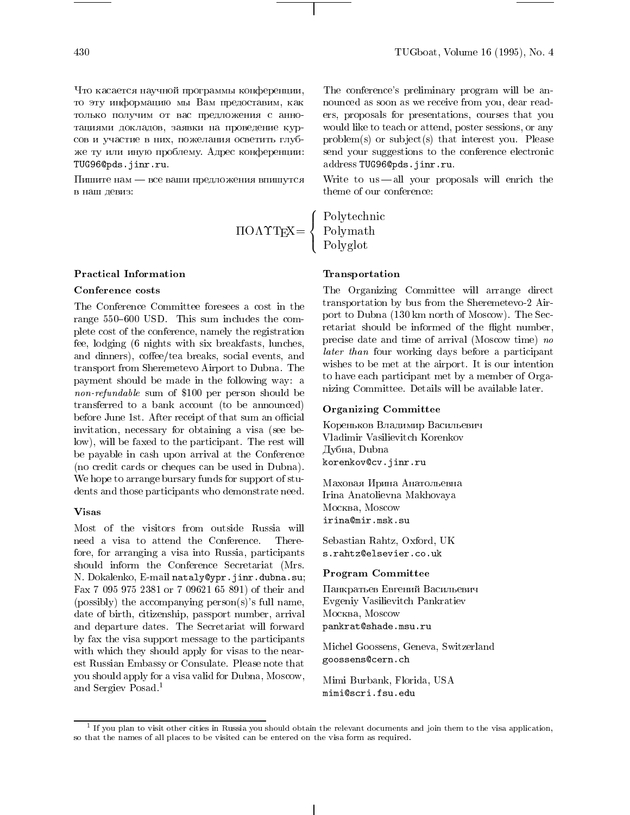Что касается научной программы конференции, то эту информацию мы Вам предоставим, как только получим от вас предложения с аннотациями докладов, заявки на проведение курсов и участие в них, пожелания осветить глубже ту или иную проблему. Адрес конференции: TUG96@pds.jinr.ru.

Пишите нам — все ваши предложения впишутся в наш девиз:

#### **Practical Information**

## Conference costs

The Conference Committee foresees a cost in the range  $550{-}600$  USD. This sum includes the complete cost of the conference, namely the registration fee, lodging (6 nights with six breakfasts, lunches, and dinners), coffee/tea breaks, social events, and transport from Sheremetevo Airport to Dubna. The payment should be made in the following way: a non-refundable sum of \$100 per person should be  $\frac{11121}{2}$ transferred to a bank account (to be announced) before June 1st. After receipt of that sum an official invitation, necessary for obtaining a visa (see below), will be faxed to the participant. The rest will be payable in cash upon arrival at the Conference (no credit cards or cheques can be used in Dubna). We hope to arrange bursary funds for support of students and those participants who demonstrate need.

#### **Visas**

Most of the visitors from outside Russia will need a visa to attend the Conference. Therefore, for arranging a visa into Russia, participants should inform the Conference Secretariat (Mrs. N. Dokalenko, E-mail nataly@ypr.jinr.dubna.su; Fax 7 095 975 2381 or 7 09621 65 891) of their and (possibly) the accompanying person(s)'s full name, date of birth, citizenship, passport number, arrival and departure dates. The Secretariat will forward by fax the visa support message to the participants with which they should apply for visas to the nearest Russian Embassy or Consulate. Please note that you should apply for a visa valid for Dubna, Moscow, and Sergiev Posad.1

The conference's preliminary program will be announced as soon as we receive from you, dear readers, proposals for presentations, courses that you would like to teach or attend, poster sessions, or any  $problem(s)$  or subject $(s)$  that interest you. Please send your suggestions to the conference electronic address TUG96@pds.jinr.ru.

Write to  $us$  -all your proposals will enrich the theme of our conference:

OTEX=  $\sqrt{ }$  $\int$  $\overline{a}$ PolytechnicPolymathPolyglot

#### Transportation

The Organizing Committee will arrange direct transportation by bus from the Sheremetevo-2 Airport to Dubna (130 km north of Moscow). The Secretariat should be informed of the flight number, precise date and time of arrival (Moscow time) no later than four working days before a participant wishes to be met at the airport. It is our intention to have each participant met by a member of Organizing Committee. Details will be available later.

# Organizing Committee

Кореньков Владимир Васильевич Дубна, Dubna korenkov@cv.jinr.ru

Маховая Ирина Анатольевна Irina Anatolievna Makhovaya Mockba, Moscow irina@mir.msk.su

Sebastian Rahtz, Oxford, UK s.rahtz@elsevier.co.uk

## Program Committee

Панкратьев Евгений Васильевич Evgeniy Vasilievitch Pankratiev Mockba, Moscow pankrat@shade.msu.ru

Michel Goossens, Geneva, Switzerland goossens@cern.ch

Mimi Burbank, Florida, USA mimi@scri.fsu.edu

t if you plan to visit other cities in Russia you should obtain the relevant documents and join them to the visa application, the strain them to the visa application, the strain them is application, the strain them is appl so that the names of all places to be visited can be entered on the visa form as required.